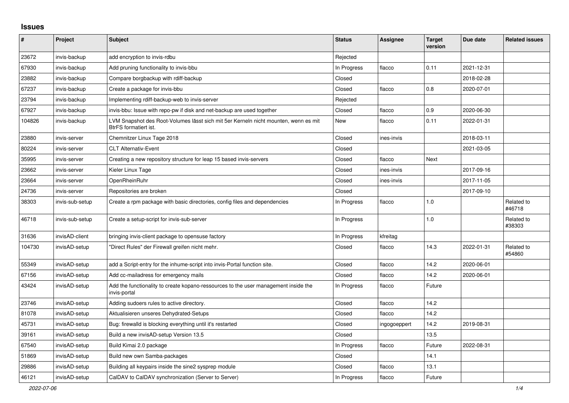## **Issues**

| #      | <b>Project</b>  | Subject                                                                                                             | <b>Status</b> | Assignee     | <b>Target</b><br>version | Due date   | <b>Related issues</b> |
|--------|-----------------|---------------------------------------------------------------------------------------------------------------------|---------------|--------------|--------------------------|------------|-----------------------|
| 23672  | invis-backup    | add encryption to invis-rdbu                                                                                        | Rejected      |              |                          |            |                       |
| 67930  | invis-backup    | Add pruning functionality to invis-bbu                                                                              | In Progress   | flacco       | 0.11                     | 2021-12-31 |                       |
| 23882  | invis-backup    | Compare borgbackup with rdiff-backup                                                                                | Closed        |              |                          | 2018-02-28 |                       |
| 67237  | invis-backup    | Create a package for invis-bbu                                                                                      | Closed        | flacco       | 0.8                      | 2020-07-01 |                       |
| 23794  | invis-backup    | Implementing rdiff-backup-web to invis-server                                                                       | Rejected      |              |                          |            |                       |
| 67927  | invis-backup    | invis-bbu: Issue with repo-pw if disk and net-backup are used together                                              | Closed        | flacco       | 0.9                      | 2020-06-30 |                       |
| 104826 | invis-backup    | LVM Snapshot des Root-Volumes lässt sich mit 5er Kerneln nicht mounten, wenn es mit<br><b>BtrFS</b> formatiert ist. | New           | flacco       | 0.11                     | 2022-01-31 |                       |
| 23880  | invis-server    | Chemnitzer Linux Tage 2018                                                                                          | Closed        | ines-invis   |                          | 2018-03-11 |                       |
| 80224  | invis-server    | <b>CLT Alternativ-Event</b>                                                                                         | Closed        |              |                          | 2021-03-05 |                       |
| 35995  | invis-server    | Creating a new repository structure for leap 15 based invis-servers                                                 | Closed        | flacco       | Next                     |            |                       |
| 23662  | invis-server    | Kieler Linux Tage                                                                                                   | Closed        | ines-invis   |                          | 2017-09-16 |                       |
| 23664  | invis-server    | OpenRheinRuhr                                                                                                       | Closed        | ines-invis   |                          | 2017-11-05 |                       |
| 24736  | invis-server    | Repositories are broken                                                                                             | Closed        |              |                          | 2017-09-10 |                       |
| 38303  | invis-sub-setup | Create a rpm package with basic directories, config files and dependencies                                          | In Progress   | flacco       | 1.0                      |            | Related to<br>#46718  |
| 46718  | invis-sub-setup | Create a setup-script for invis-sub-server                                                                          | In Progress   |              | 1.0                      |            | Related to<br>#38303  |
| 31636  | invisAD-client  | bringing invis-client package to opensuse factory                                                                   | In Progress   | kfreitag     |                          |            |                       |
| 104730 | invisAD-setup   | "Direct Rules" der Firewall greifen nicht mehr.                                                                     | Closed        | flacco       | 14.3                     | 2022-01-31 | Related to<br>#54860  |
| 55349  | invisAD-setup   | add a Script-entry for the inhume-script into invis-Portal function site.                                           | Closed        | flacco       | 14.2                     | 2020-06-01 |                       |
| 67156  | invisAD-setup   | Add cc-mailadress for emergency mails                                                                               | Closed        | flacco       | 14.2                     | 2020-06-01 |                       |
| 43424  | invisAD-setup   | Add the functionality to create kopano-ressources to the user management inside the<br>invis-portal                 | In Progress   | flacco       | Future                   |            |                       |
| 23746  | invisAD-setup   | Adding sudoers rules to active directory.                                                                           | Closed        | flacco       | 14.2                     |            |                       |
| 81078  | invisAD-setup   | Aktualisieren unseres Dehydrated-Setups                                                                             | Closed        | flacco       | 14.2                     |            |                       |
| 45731  | invisAD-setup   | Bug: firewalld is blocking everything until it's restarted                                                          | Closed        | ingogoeppert | 14.2                     | 2019-08-31 |                       |
| 39161  | invisAD-setup   | Build a new invisAD-setup Version 13.5                                                                              | Closed        |              | 13.5                     |            |                       |
| 67540  | invisAD-setup   | Build Kimai 2.0 package                                                                                             | In Progress   | flacco       | Future                   | 2022-08-31 |                       |
| 51869  | invisAD-setup   | Build new own Samba-packages                                                                                        | Closed        |              | 14.1                     |            |                       |
| 29886  | invisAD-setup   | Building all keypairs inside the sine2 sysprep module                                                               | Closed        | flacco       | 13.1                     |            |                       |
| 46121  | invisAD-setup   | CalDAV to CalDAV synchronization (Server to Server)                                                                 | In Progress   | flacco       | Future                   |            |                       |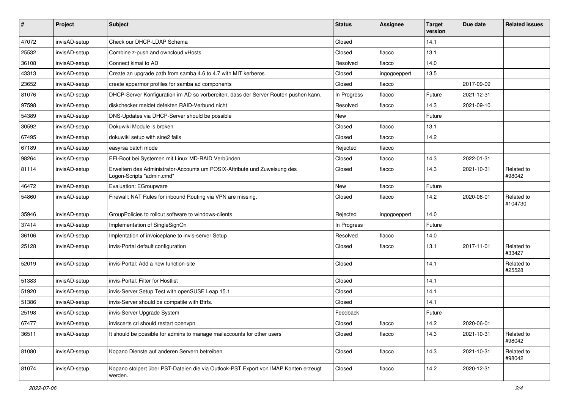| $\#$  | Project       | Subject                                                                                                | <b>Status</b> | <b>Assignee</b> | <b>Target</b><br>version | Due date   | <b>Related issues</b> |
|-------|---------------|--------------------------------------------------------------------------------------------------------|---------------|-----------------|--------------------------|------------|-----------------------|
| 47072 | invisAD-setup | Check our DHCP-LDAP Schema                                                                             | Closed        |                 | 14.1                     |            |                       |
| 25532 | invisAD-setup | Combine z-push and owncloud vHosts                                                                     | Closed        | flacco          | 13.1                     |            |                       |
| 36108 | invisAD-setup | Connect kimai to AD                                                                                    | Resolved      | flacco          | 14.0                     |            |                       |
| 43313 | invisAD-setup | Create an upgrade path from samba 4.6 to 4.7 with MIT kerberos                                         | Closed        | ingogoeppert    | 13.5                     |            |                       |
| 23652 | invisAD-setup | create apparmor profiles for samba ad components                                                       | Closed        | flacco          |                          | 2017-09-09 |                       |
| 81076 | invisAD-setup | DHCP-Server Konfiguration im AD so vorbereiten, dass der Server Routen pushen kann.                    | In Progress   | flacco          | Future                   | 2021-12-31 |                       |
| 97598 | invisAD-setup | diskchecker meldet defekten RAID-Verbund nicht                                                         | Resolved      | flacco          | 14.3                     | 2021-09-10 |                       |
| 54389 | invisAD-setup | DNS-Updates via DHCP-Server should be possible                                                         | New           |                 | Future                   |            |                       |
| 30592 | invisAD-setup | Dokuwiki Module is broken                                                                              | Closed        | flacco          | 13.1                     |            |                       |
| 67495 | invisAD-setup | dokuwiki setup with sine2 fails                                                                        | Closed        | flacco          | 14.2                     |            |                       |
| 67189 | invisAD-setup | easyrsa batch mode                                                                                     | Rejected      | flacco          |                          |            |                       |
| 98264 | invisAD-setup | EFI-Boot bei Systemen mit Linux MD-RAID Verbünden                                                      | Closed        | flacco          | 14.3                     | 2022-01-31 |                       |
| 81114 | invisAD-setup | Erweitern des Administrator-Accounts um POSIX-Attribute und Zuweisung des<br>Logon-Scripts "admin.cmd" | Closed        | flacco          | 14.3                     | 2021-10-31 | Related to<br>#98042  |
| 46472 | invisAD-setup | Evaluation: EGroupware                                                                                 | New           | flacco          | Future                   |            |                       |
| 54860 | invisAD-setup | Firewall: NAT Rules for inbound Routing via VPN are missing.                                           | Closed        | flacco          | 14.2                     | 2020-06-01 | Related to<br>#104730 |
| 35946 | invisAD-setup | GroupPolicies to rollout software to windows-clients                                                   | Rejected      | ingogoeppert    | 14.0                     |            |                       |
| 37414 | invisAD-setup | Implementation of SingleSignOn                                                                         | In Progress   |                 | Future                   |            |                       |
| 36106 | invisAD-setup | Implentation of invoiceplane to invis-server Setup                                                     | Resolved      | flacco          | 14.0                     |            |                       |
| 25128 | invisAD-setup | invis-Portal default configuration                                                                     | Closed        | flacco          | 13.1                     | 2017-11-01 | Related to<br>#33427  |
| 52019 | invisAD-setup | invis-Portal: Add a new function-site                                                                  | Closed        |                 | 14.1                     |            | Related to<br>#25528  |
| 51383 | invisAD-setup | invis-Portal: Filter for Hostlist                                                                      | Closed        |                 | 14.1                     |            |                       |
| 51920 | invisAD-setup | invis-Server Setup Test with openSUSE Leap 15.1                                                        | Closed        |                 | 14.1                     |            |                       |
| 51386 | invisAD-setup | invis-Server should be compatile with Btrfs.                                                           | Closed        |                 | 14.1                     |            |                       |
| 25198 | invisAD-setup | invis-Server Upgrade System                                                                            | Feedback      |                 | Future                   |            |                       |
| 67477 | invisAD-setup | inviscerts crl should restart openvpn                                                                  | Closed        | flacco          | 14.2                     | 2020-06-01 |                       |
| 36511 | invisAD-setup | It should be possible for admins to manage mailaccounts for other users                                | Closed        | flacco          | 14.3                     | 2021-10-31 | Related to<br>#98042  |
| 81080 | invisAD-setup | Kopano Dienste auf anderen Servern betreiben                                                           | Closed        | flacco          | 14.3                     | 2021-10-31 | Related to<br>#98042  |
| 81074 | invisAD-setup | Kopano stolpert über PST-Dateien die via Outlook-PST Export von IMAP Konten erzeugt<br>werden.         | Closed        | flacco          | 14.2                     | 2020-12-31 |                       |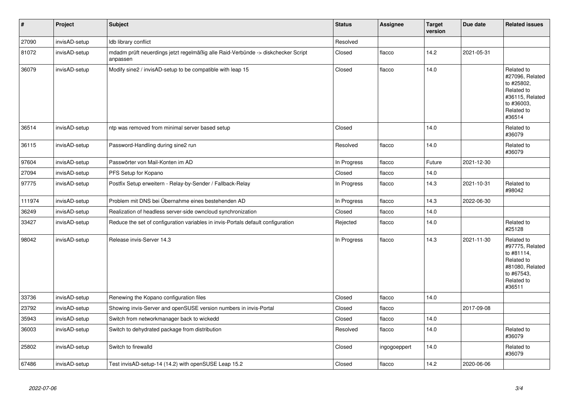| $\sharp$ | Project       | <b>Subject</b>                                                                               | <b>Status</b> | <b>Assignee</b> | <b>Target</b><br>version | Due date   | <b>Related issues</b>                                                                                              |
|----------|---------------|----------------------------------------------------------------------------------------------|---------------|-----------------|--------------------------|------------|--------------------------------------------------------------------------------------------------------------------|
| 27090    | invisAD-setup | Idb library conflict                                                                         | Resolved      |                 |                          |            |                                                                                                                    |
| 81072    | invisAD-setup | mdadm prüft neuerdings jetzt regelmäßig alle Raid-Verbünde -> diskchecker Script<br>anpassen | Closed        | flacco          | 14.2                     | 2021-05-31 |                                                                                                                    |
| 36079    | invisAD-setup | Modify sine2 / invisAD-setup to be compatible with leap 15                                   | Closed        | flacco          | 14.0                     |            | Related to<br>#27096, Related<br>to #25802,<br>Related to<br>#36115, Related<br>to #36003,<br>Related to<br>#36514 |
| 36514    | invisAD-setup | ntp was removed from minimal server based setup                                              | Closed        |                 | 14.0                     |            | Related to<br>#36079                                                                                               |
| 36115    | invisAD-setup | Password-Handling during sine2 run                                                           | Resolved      | flacco          | 14.0                     |            | Related to<br>#36079                                                                                               |
| 97604    | invisAD-setup | Passwörter von Mail-Konten im AD                                                             | In Progress   | flacco          | Future                   | 2021-12-30 |                                                                                                                    |
| 27094    | invisAD-setup | PFS Setup for Kopano                                                                         | Closed        | flacco          | 14.0                     |            |                                                                                                                    |
| 97775    | invisAD-setup | Postfix Setup erweitern - Relay-by-Sender / Fallback-Relay                                   | In Progress   | flacco          | 14.3                     | 2021-10-31 | Related to<br>#98042                                                                                               |
| 111974   | invisAD-setup | Problem mit DNS bei Übernahme eines bestehenden AD                                           | In Progress   | flacco          | 14.3                     | 2022-06-30 |                                                                                                                    |
| 36249    | invisAD-setup | Realization of headless server-side owncloud synchronization                                 | Closed        | flacco          | 14.0                     |            |                                                                                                                    |
| 33427    | invisAD-setup | Reduce the set of configuration variables in invis-Portals default configuration             | Rejected      | flacco          | 14.0                     |            | Related to<br>#25128                                                                                               |
| 98042    | invisAD-setup | Release invis-Server 14.3                                                                    | In Progress   | flacco          | 14.3                     | 2021-11-30 | Related to<br>#97775, Related<br>to #81114,<br>Related to<br>#81080, Related<br>to #67543,<br>Related to<br>#36511 |
| 33736    | invisAD-setup | Renewing the Kopano configuration files                                                      | Closed        | flacco          | 14.0                     |            |                                                                                                                    |
| 23792    | invisAD-setup | Showing invis-Server and openSUSE version numbers in invis-Portal                            | Closed        | flacco          |                          | 2017-09-08 |                                                                                                                    |
| 35943    | invisAD-setup | Switch from networkmanager back to wickedd                                                   | Closed        | flacco          | 14.0                     |            |                                                                                                                    |
| 36003    | invisAD-setup | Switch to dehydrated package from distribution                                               | Resolved      | flacco          | 14.0                     |            | Related to<br>#36079                                                                                               |
| 25802    | invisAD-setup | Switch to firewalld                                                                          | Closed        | ingogoeppert    | 14.0                     |            | Related to<br>#36079                                                                                               |
| 67486    | invisAD-setup | Test invisAD-setup-14 (14.2) with openSUSE Leap 15.2                                         | Closed        | flacco          | 14.2                     | 2020-06-06 |                                                                                                                    |